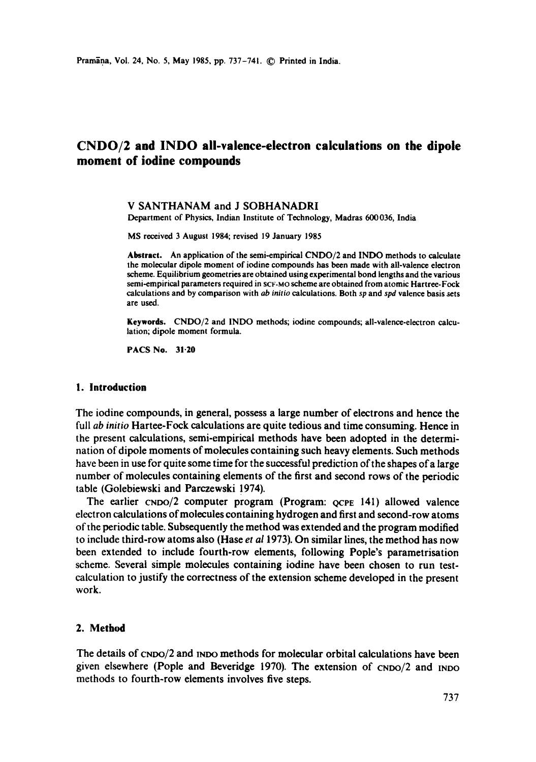# **CNDO/2 and INDO all-valence-electron calculations on the dipole moment of iodine compounds**

#### V SANTHANAM and J SOBHANADRI

Department of Physics, Indian Institute of Technology, Madras 600036, India

MS received 3 August 1984; revised 19 January 1985

Abstract. An application of the semi-empirical CNDO/2 and INDO methods to calculate the molecular dipole moment of iodine compounds has been made with all-valence electron scheme. Equilibrium geometries are obtained using experimental bond lengths and the various semi-empirical parameters required in SCV'.MO scheme are obtained from atomic Hartree-Fock calculations and by comparison with *ab initio* calculations. Both *sp* and *spd* valence basis sets are used.

**Keywords.** CNDO/2 and INDO methods; iodine compounds; all-valence-electron calculation; dipole moment formula.

PACS No. 31.20

#### **I. Introduction**

The iodine compounds, in general, possess a large number of electrons and hence the full *ab inirio* Hartee-Fock calculations are quite tedious and time consuming. Hence in the present calculations, semi-empirical methods have been adopted in the determination of dipole moments of molecules containing such heavy elements. Such methods have been in use for quite some time for the successful prediction of the shapes of a large number of molecules containing elements of the first and second rows of the periodic table (Golebiewski and Parczewski 1974).

The earlier CNDO/2 computer program (Program: QCPE 141) allowed valence electron calculations ofmolecules containing hydrogen and first and second-row atoms of the periodic table. Subsequently the method was extended and the program modified to include third-row atoms also (Hase *et a11973).* On similar lines, the method has now been extended to include fourth-row elements, following Pople's parametrisation scheme. Several simple molecules containing iodine have been chosen to run testcalculation to justify the correctness of the extension scheme developed in the present work.

#### 2. Method

The details of CNDO/2 and INDO methods for molecular orbital calculations have been given elsewhere (Pople and Beveridge 1970). The extension of CNDO/2 and INDO methods to fourth-row elements involves five steps.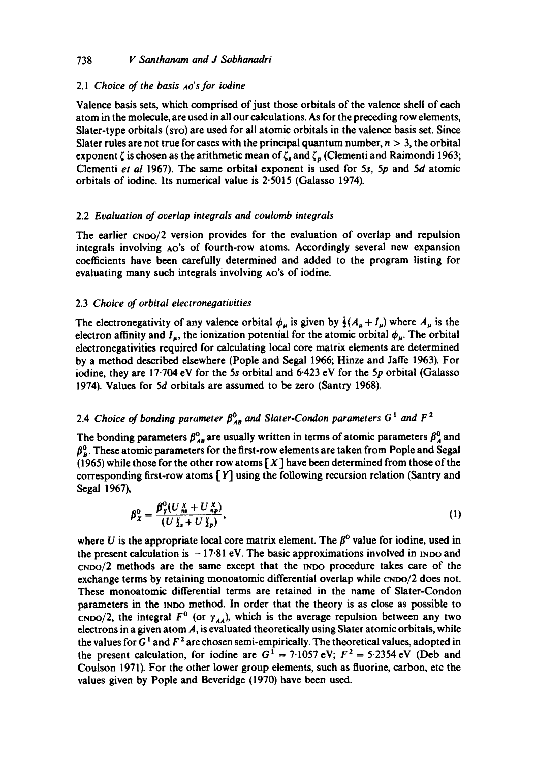### 738 *V Santhanam and J Sobhanadri*

## *2.1 Choice of the basis ao's for iodine*

Valence basis sets, which comprised of just those orbitals of the valence shell of each atom in the molecule, are used in all our calculations. As for the preceding row elements, Slater-type orbitals (sro) are used for all atomic orbitals in the valence basis set. Since Slater rules are not true for cases with the principal quantum number,  $n > 3$ , the orbital exponent  $\zeta$  is chosen as the arithmetic mean of  $\zeta_s$  and  $\zeta_p$  (Clementi and Raimondi 1963; Clementi *et al* 1967). The same orbital exponent is used for 5s, 5p and 5d atomic orbitals of iodine. Its numerical value is 2.5015 (Galasso 1974).

### 2.2 *Evaluation of overlap integrals and coulomb integrals*

The earlier CNDO/2 version provides for the evaluation of overlap and repulsion integrals involving AO'S of fourth-row atoms. Accordingly several new expansion coefficients have been carefully determined and added to the program listing for evaluating many such integrals involving AO'S of iodine.

### 2.3 *Choice of orbital electronegativities*

The electronegativity of any valence orbital  $\phi_{\mu}$  is given by  $\frac{1}{2}(A_{\mu} + I_{\mu})$  where  $A_{\mu}$  is the electron affinity and  $I_{\mu}$ , the ionization potential for the atomic orbital  $\phi_{\mu}$ . The orbital electronegativities required for calculating local core matrix elements are determined by a method described elsewhere (Pople and Segal 1966; Hinze and Jaffe 1963). For iodine, they are 17.704 eV for the 5s orbital and 6-423 eV for the 5p orbital (Galasso 1974). Values for 5d orbitals are assumed to be zero (Santry 1968).

# 2.4 Choice of bonding parameter  $\beta_{AB}^0$  and Slater-Condon parameters G<sup>1</sup> and F<sup>2</sup>

The bonding parameters  $\beta_{AB}^0$  are usually written in terms of atomic parameters  $\beta_A^0$  and  $\beta_{\rm B}^0$ . These atomic parameters for the first-row elements are taken from Pople and Segal (1965) while those for the other row atoms  $[X]$  have been determined from those of the corresponding first-row atoms [ Y] using the following recursion relation (Santry and Segal 1967),

$$
\beta_X^0 = \frac{\beta_Y^0 (U_{hs}^X + U_{hs}^X)}{(U_{2s}^X + U_{2p}^X)},
$$
\n(1)

where U is the appropriate local core matrix element. The  $\beta^0$  value for iodine, used in the present calculation is  $-17.81$  eV. The basic approximations involved in INDO and C~DO/2 methods are the same except that the INDO procedure takes care of the exchange terms by retaining monoatomic differential overlap while  $CNDO/2$  does not. These monoatomic differential terms are retained in the name of Slater-Condon parameters in the INDO method. In order that the theory is as close as possible to CNDO/2, the integral  $F^0$  (or  $\gamma_{AA}$ ), which is the average repulsion between any two electrons in a given atom  $A$ , is evaluated theoretically using Slater atomic orbitals, while the values for  $G<sup>1</sup>$  and  $F<sup>2</sup>$  are chosen semi-empirically. The theoretical values, adopted in the present calculation, for iodine are  $G^1 = 7.1057$  eV;  $F^2 = 5.2354$  eV (Deb and Coulson 1971). For the other lower group elements, such as fluorine, carbon, etc the values given by Pople and Beveridge (1970) have been used.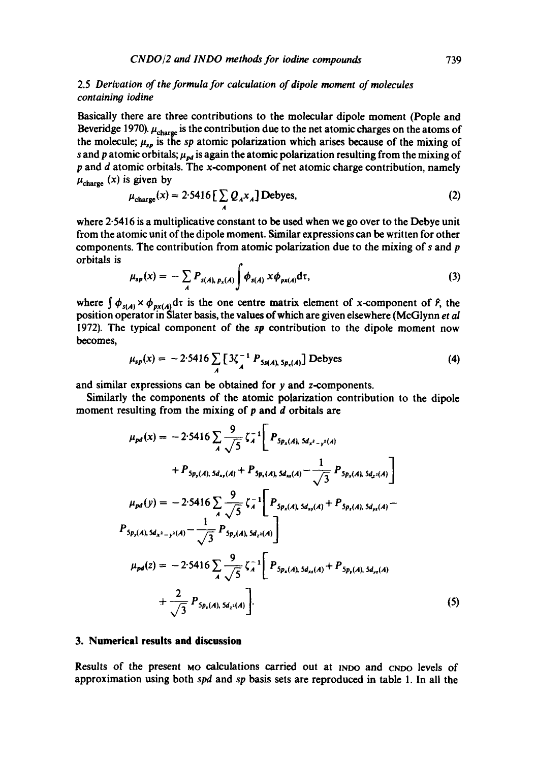## 2.5 *Derivation of the formula for calculation of dipole moment of molecules containino iodine*

Basically there are three contributions to the molecular dipole moment (Pople and Beveridge 1970).  $\mu_{\text{charge}}$  is the contribution due to the net atomic charges on the atoms of the molecule;  $\mu_{sp}$  is the *sp* atomic polarization which arises because of the mixing of s and p atomic orbitals;  $\mu_{pd}$  is again the atomic polarization resulting from the mixing of **p and d** atomic orbitals. The x-component of net atomic charge contribution, namely  $\mu_{\text{charge}} (x)$  is given by

$$
\mu_{\text{charge}}(x) = 2.5416 \left[ \sum_{A} Q_{A} x_{A} \right] \text{Debyes},\tag{2}
$$

where 2.5416 is a multiplicative constant to be used when we go over to the Debye unit from the atomic unit of the dipole moment. Similar expressions can be written for other components. The contribution from atomic polarization due to the mixing of  $s$  and  $p$ orbitals is

$$
\mu_{sp}(x) = -\sum_{A} P_{s(A), p_{x}(A)} \int \phi_{s(A)} x \phi_{px(A)} d\tau,
$$
\n(3)

where  $\int \phi_{s(A)} \times \phi_{px(A)} d\tau$  is the one centre matrix element of x-component of  $\hat{r}$ , the position operator in Slater basis, the values of which are given elsewhere (McGlynn et *al*  1972). The typical component of the sp contribution to the dipole moment now becomes,

$$
\mu_{sp}(x) = -2.5416 \sum_{A} \left[ 3\zeta_{A}^{-1} P_{5s(A), 5p_{x}(A)} \right] \text{Debyes}
$$
 (4)

and similar expressions can be obtained for y and z-components.

Similarly the components of the atomic polarization contribution to the dipole moment resulting from the mixing of  $p$  and  $d$  orbitals are

$$
\mu_{pd}(x) = -2.5416 \sum_{A} \frac{9}{\sqrt{5}} \zeta_{A}^{-1} \Bigg[ P_{5p_{x}(A), 5d_{x^{2}-y^{2}}(A)} + P_{5p_{y}(A), 5d_{xy}(A)} + P_{5p_{y}(A), 5d_{xy}(A)} - \frac{1}{\sqrt{3}} P_{5p_{x}(A), 5d_{x^{2}}(A)} \Bigg]
$$
  
\n
$$
\mu_{pd}(y) = -2.5416 \sum_{A} \frac{9}{\sqrt{5}} \zeta_{A}^{-1} \Bigg[ P_{5p_{x}(A), 5d_{xy}(A)} + P_{5p_{x}(A), 5d_{yx}(A)} - P_{5p_{y}(A), 5d_{x^{2}-y^{2}}(A)} - \frac{1}{\sqrt{3}} P_{5p_{y}(A), 5d_{x^{2}}(A)} \Bigg]
$$
  
\n
$$
\mu_{pd}(z) = -2.5416 \sum_{A} \frac{9}{\sqrt{5}} \zeta_{A}^{-1} \Bigg[ P_{5p_{x}(A), 5d_{xx}(A)} + P_{5p_{y}(A), 5d_{yx}(A)} + \frac{2}{\sqrt{3}} P_{5p_{y}(A), 5d_{x^{2}}(A)} \Bigg].
$$
  
\n(5)

#### **3. Numerical results and discussion**

Results of the present mo calculations carried out at INDO and CNDO levels of approximation using both spd and sp basis sets are reproduced in table 1. In all the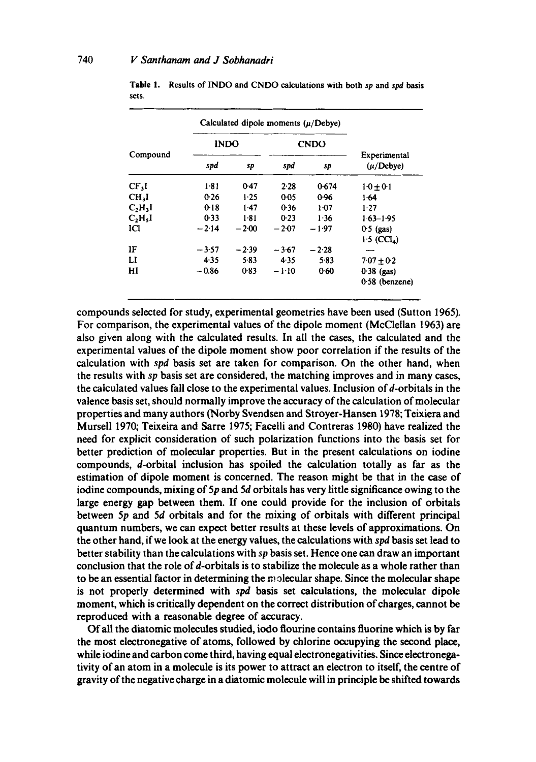|                                 | Calculated dipole moments $(\mu/Debye)$ |          |             |         |                                |
|---------------------------------|-----------------------------------------|----------|-------------|---------|--------------------------------|
| Compound                        | <b>INDO</b>                             |          | <b>CNDO</b> |         |                                |
|                                 | spd                                     | sp       | spd         | sp      | Experimental<br>$(\mu/Debye)$  |
| CF <sub>1</sub>                 | 1.81                                    | 0.47     | 2.28        | 0.674   | $10 + 01$                      |
| CH <sub>1</sub>                 | 0.26                                    | 1.25     | 0:05        | 0.96    | $1-64$                         |
| C <sub>2</sub> H <sub>3</sub> I | 0.18                                    | $1-47$   | 0.36        | $1-07$  | 1.27                           |
| C, H, I                         | 0.33                                    | $1 - 81$ | 0.23        | 1.36    | $163 - 1.95$                   |
| ICI                             | $-2.14$                                 | $-2.00$  | $-2.07$     | $-1.97$ | $0.5$ (gas)<br>$1.5$ (CCL)     |
| IF                              | $-3.57$                                 | $-2.39$  | $-3.67$     | $-2.28$ |                                |
| LI                              | 4.35                                    | 5.83     | 4.35        | 5.83    | $7.07 \pm 0.2$                 |
| HI                              | $-0.86$                                 | 0.83     | $-1.10$     | 0.60    | $0.38$ (gas)<br>0.58 (benzene) |

Table 1. Results of INDO and CNDO calculations with both *sp* and *spd* basis sets.

compounds selected for study, experimental geometries have been used (Sutton 1965). For comparison, the experimental values of the dipole moment (McClellan 1963) are also given along with the calculated results. In all the cases, the calculated and the experimental values of the dipole moment show poor correlation if the results of the calculation with *spd* basis set are taken for comparison. On the other hand, when the results with *sp* basis set are considered, the matching improves and in many cases, the calculated values fall close to the experimental values. Inclusion of d-orbitais in the valence basis set, should normally improve the accuracy of the calculation of molecular properties and many authors (Norby Svendsen and Stroyer-Hansen 1978; Teixiera and Mursell 1970; Teixeira and Sarre 1975; Facelli and Contreras 1980) have realized the need for explicit consideration of such polarization functions into the basis set for better prediction of molecular properties. But in the present calculations on iodine compounds, d-orbital inclusion has spoiled the calculation totally as far as the estimation of dipole moment is concerned. The reason might be that in the case of iodine compounds, mixing of 5p and 5d orbitals has very little significance owing to the large energy gap between them. If one could provide for the inclusion of orbitals between 5p and 5d orbitais and for the mixing of orbitals with different principal quantum numbers, we can expect better results at these levels of approximations. On the other hand, if we look at the energy values, the calculations with spd basis set lead to better stability than the calculations with *sp* basis set. Hence one can draw an important conclusion that the role of d-orbitals is to stabilize the molecule as a whole rather than to be an essential factor in determining the molecular shape. Since the molecular shape is not properly determined with spd basis set calculations, the molecular dipole moment, which is critically dependent on the correct distribution of charges, cannot be reproduced with a reasonable degree of accuracy.

Of all the diatomic molecules studied, iodo flourine contains fluorine which is by far the most electronegative of atoms, followed by chlorine occupying the second place, while iodine and carbon come third, having equal electronegativities. Since electronegativity of an atom in a molecule is its power to attract an electron to itself, the centre of gravity of the negative charge in a diatomic molecule will in principle be shifted towards